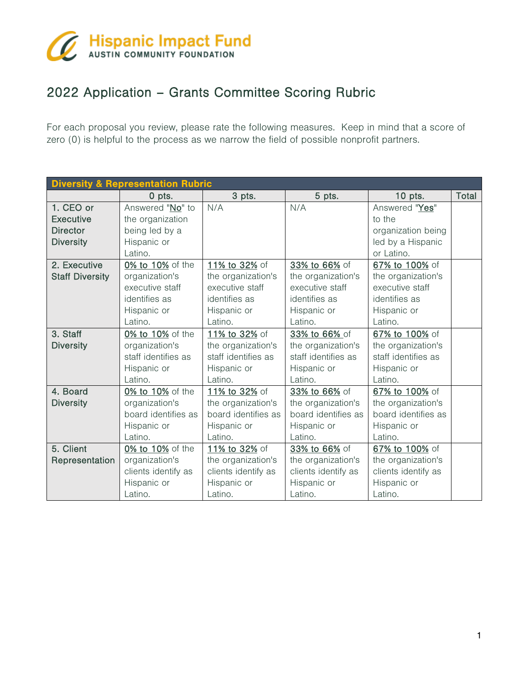

## 2022 Application – Grants Committee Scoring Rubric

For each proposal you review, please rate the following measures. Keep in mind that a score of zero (0) is helpful to the process as we narrow the field of possible nonprofit partners.

| <b>Diversity &amp; Representation Rubric</b> |                     |                     |                     |                     |       |  |  |  |  |
|----------------------------------------------|---------------------|---------------------|---------------------|---------------------|-------|--|--|--|--|
|                                              | 0 pts.              | 3 pts.              | 5 pts.              | $10$ pts.           | Total |  |  |  |  |
| 1. CEO or                                    | Answered "No" to    | N/A                 | N/A                 | Answered "Yes"      |       |  |  |  |  |
| <b>Executive</b>                             | the organization    |                     |                     | to the              |       |  |  |  |  |
| <b>Director</b>                              | being led by a      |                     |                     | organization being  |       |  |  |  |  |
| <b>Diversity</b>                             | Hispanic or         |                     |                     | led by a Hispanic   |       |  |  |  |  |
|                                              | Latino.             |                     |                     | or Latino.          |       |  |  |  |  |
| 2. Executive                                 | 0% to 10% of the    | 11% to 32% of       | 33% to 66% of       | 67% to 100% of      |       |  |  |  |  |
| <b>Staff Diversity</b>                       | organization's      | the organization's  | the organization's  | the organization's  |       |  |  |  |  |
|                                              | executive staff     | executive staff     | executive staff     | executive staff     |       |  |  |  |  |
|                                              | identifies as       | identifies as       | identifies as       | identifies as       |       |  |  |  |  |
|                                              | Hispanic or         | Hispanic or         | Hispanic or         | Hispanic or         |       |  |  |  |  |
|                                              | Latino.             | Latino.             | Latino.             | Latino.             |       |  |  |  |  |
| 3. Staff                                     | 0% to 10% of the    | 11% to 32% of       | 33% to 66% of       | 67% to 100% of      |       |  |  |  |  |
| <b>Diversity</b>                             | organization's      | the organization's  | the organization's  | the organization's  |       |  |  |  |  |
|                                              | staff identifies as | staff identifies as | staff identifies as | staff identifies as |       |  |  |  |  |
|                                              | Hispanic or         | Hispanic or         | Hispanic or         | Hispanic or         |       |  |  |  |  |
|                                              | Latino.             | Latino.             | Latino.             | Latino.             |       |  |  |  |  |
| 4. Board                                     | 0% to 10% of the    | 11% to 32% of       | 33% to 66% of       | 67% to 100% of      |       |  |  |  |  |
| <b>Diversity</b>                             | organization's      | the organization's  | the organization's  | the organization's  |       |  |  |  |  |
|                                              | board identifies as | board identifies as | board identifies as | board identifies as |       |  |  |  |  |
|                                              | Hispanic or         | Hispanic or         | Hispanic or         | Hispanic or         |       |  |  |  |  |
|                                              | Latino.             | Latino.             | Latino.             | Latino.             |       |  |  |  |  |
| 5. Client                                    | 0% to 10% of the    | 11% to 32% of       | 33% to 66% of       | 67% to 100% of      |       |  |  |  |  |
| Representation                               | organization's      | the organization's  | the organization's  | the organization's  |       |  |  |  |  |
|                                              | clients identify as | clients identify as | clients identify as | clients identify as |       |  |  |  |  |
|                                              | Hispanic or         | Hispanic or         | Hispanic or         | Hispanic or         |       |  |  |  |  |
|                                              | Latino.             | Latino.             | Latino.             | Latino.             |       |  |  |  |  |